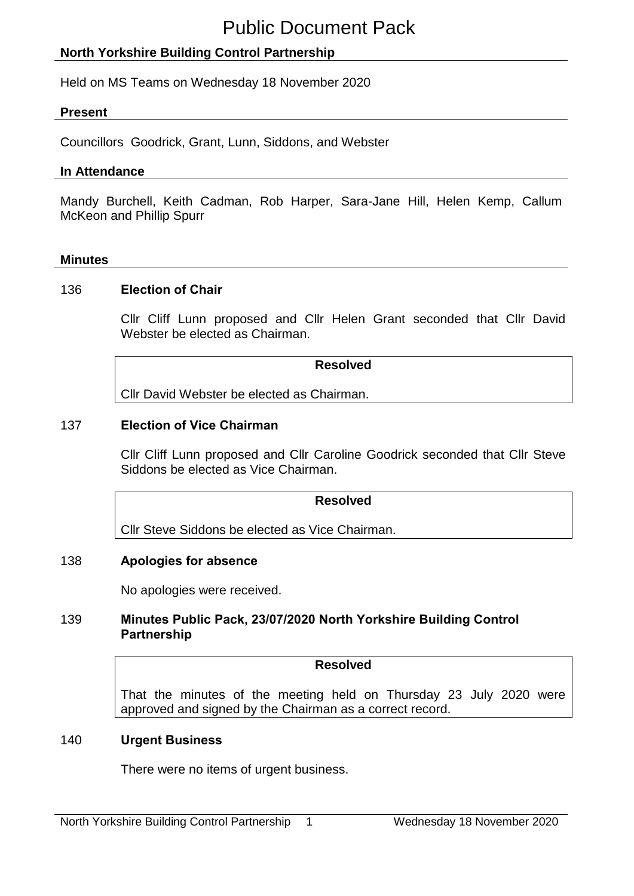# **North Yorkshire Building Control Partnership**

Held on MS Teams on Wednesday 18 November 2020

### **Present**

Councillors Goodrick, Grant, Lunn, Siddons, and Webster

### **In Attendance**

Mandy Burchell, Keith Cadman, Rob Harper, Sara-Jane Hill, Helen Kemp, Callum McKeon and Phillip Spurr

#### **Minutes**

#### 136 **Election of Chair**

Cllr Cliff Lunn proposed and Cllr Helen Grant seconded that Cllr David Webster be elected as Chairman.

**Resolved**

Cllr David Webster be elected as Chairman.

## 137 **Election of Vice Chairman**

Cllr Cliff Lunn proposed and Cllr Caroline Goodrick seconded that Cllr Steve Siddons be elected as Vice Chairman.

## **Resolved**

Cllr Steve Siddons be elected as Vice Chairman.

## 138 **Apologies for absence**

No apologies were received.

### 139 **Minutes Public Pack, 23/07/2020 North Yorkshire Building Control Partnership**

#### **Resolved**

That the minutes of the meeting held on Thursday 23 July 2020 were approved and signed by the Chairman as a correct record.

#### 140 **Urgent Business**

There were no items of urgent business.